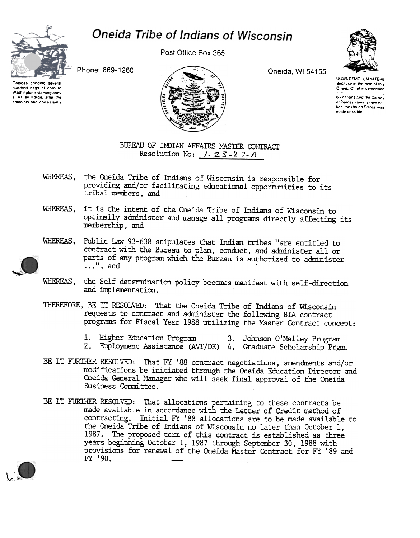

## Oneida Tribe of Indians of Wisconsin

Post Office Box 365



Phone: 869-1260

Oneidas bringing several tundred bags of corn to Washington's starving army al Valley Forge, after the colonists had consistently



Oneida, WI 54155

UGWA DEMOLUM YATEHE Because of the neighborship<br>Oneida Chief in cementing

six nations and the Colony of Pennsylvania a new nation the United States was made possible

## BUREAU OF INDIAN AFFAIRS MASTER CONTRACT Resolution No:  $/-$  23-87-A

- WHEREAS, the Oneida Tribe of Indians of Wisconsin is responsible for providing and/or facilitating educational opportunities to its tribal members, and
- WHEREAS, it is the intent of the Oneida Tribe of Indians of Wisconsin to optimally administer and manage all programs directly affecting its membership, and



WHEREAS. Public Law 93-638 stipulates that Indian tribes "are entitled to contract with the Bureau to plan, conduct, and administer all or parts of any program which the Bureau is authorized to administer  $\ldots$ ", and

- WHEREAS, the Self-determination policy becomes manifest with self-direction and implementation.
- THEREFORE, BE IT RESOLVED: That the Oneida Tribe of Indians of Wisconsin requests to contract and administer the following BIA contract programs for Fiscal Year 1988 utilizing the Master Contract concept:
	- 1. Higher Education Program 3. Johnson O'Malley Program
	- 2. Employment Assistance (AVT/DE) 4. Graduate Scholarship Prgm.
- BE IT FURTHER RESOLVED: That FY '88 contract negotiations, amendments and/or modifications be initiated through the Oneida Education Director and Oneida General Manager who will seek final approval of the Oneida Business Committee.
- BE IT FURIHER RESOLVED: That allocations pertaining to these contracts be made available in accordance with the Letter of Credit method of contracting. Initial FY '88 allocations are to be made available to the Oneida Tribe of Indians of Wisconsin no later than October 1, 1987. The proposed term of this contract is established as three years beginning October 1, 1987 through September 30, 1988 with provisions for renewal of the Oneida Master Contract for FY '89 and FY '90.